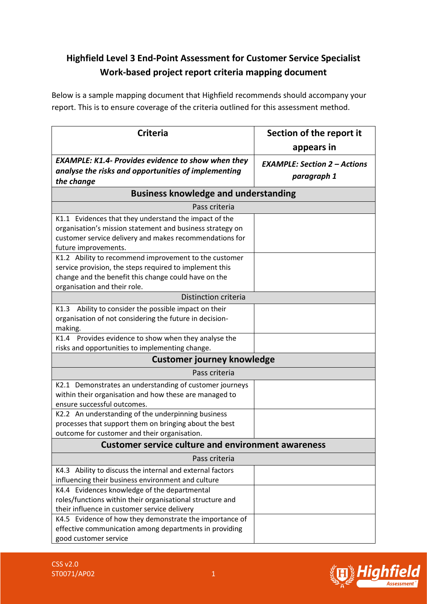## **Highfield Level 3 End-Point Assessment for Customer Service Specialist Work-based project report criteria mapping document**

Below is a sample mapping document that Highfield recommends should accompany your report. This is to ensure coverage of the criteria outlined for this assessment method.

| <b>Criteria</b>                                                                                                                                                                                          | Section of the report it                           |  |
|----------------------------------------------------------------------------------------------------------------------------------------------------------------------------------------------------------|----------------------------------------------------|--|
|                                                                                                                                                                                                          | appears in                                         |  |
| <b>EXAMPLE: K1.4- Provides evidence to show when they</b><br>analyse the risks and opportunities of implementing<br>the change                                                                           | <b>EXAMPLE: Section 2 - Actions</b><br>paragraph 1 |  |
| <b>Business knowledge and understanding</b>                                                                                                                                                              |                                                    |  |
| Pass criteria                                                                                                                                                                                            |                                                    |  |
| K1.1 Evidences that they understand the impact of the<br>organisation's mission statement and business strategy on<br>customer service delivery and makes recommendations for<br>future improvements.    |                                                    |  |
| K1.2 Ability to recommend improvement to the customer<br>service provision, the steps required to implement this<br>change and the benefit this change could have on the<br>organisation and their role. |                                                    |  |
| Distinction criteria                                                                                                                                                                                     |                                                    |  |
| Ability to consider the possible impact on their<br>K1.3<br>organisation of not considering the future in decision-<br>making.                                                                           |                                                    |  |
| K1.4 Provides evidence to show when they analyse the<br>risks and opportunities to implementing change.                                                                                                  |                                                    |  |
| <b>Customer journey knowledge</b>                                                                                                                                                                        |                                                    |  |
| Pass criteria                                                                                                                                                                                            |                                                    |  |
| K2.1 Demonstrates an understanding of customer journeys<br>within their organisation and how these are managed to<br>ensure successful outcomes.                                                         |                                                    |  |
| K2.2 An understanding of the underpinning business<br>processes that support them on bringing about the best<br>outcome for customer and their organisation.                                             |                                                    |  |
| <b>Customer service culture and environment awareness</b>                                                                                                                                                |                                                    |  |
| Pass criteria                                                                                                                                                                                            |                                                    |  |
| K4.3 Ability to discuss the internal and external factors<br>influencing their business environment and culture                                                                                          |                                                    |  |
| K4.4 Evidences knowledge of the departmental<br>roles/functions within their organisational structure and<br>their influence in customer service delivery                                                |                                                    |  |
| K4.5 Evidence of how they demonstrate the importance of<br>effective communication among departments in providing<br>good customer service                                                               |                                                    |  |

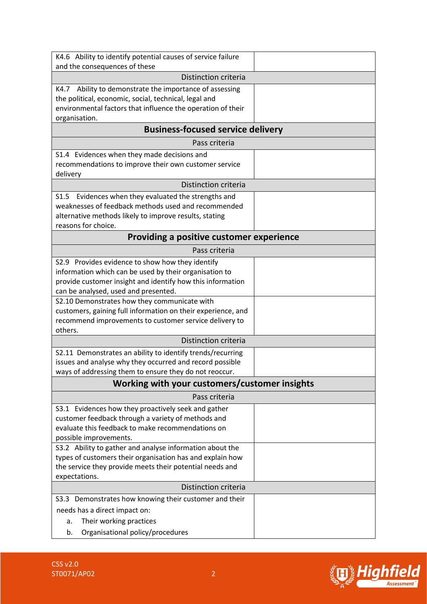| K4.6 Ability to identify potential causes of service failure                                                           |  |  |
|------------------------------------------------------------------------------------------------------------------------|--|--|
| and the consequences of these                                                                                          |  |  |
| Distinction criteria                                                                                                   |  |  |
| K4.7 Ability to demonstrate the importance of assessing<br>the political, economic, social, technical, legal and       |  |  |
| environmental factors that influence the operation of their                                                            |  |  |
| organisation.                                                                                                          |  |  |
| <b>Business-focused service delivery</b>                                                                               |  |  |
| Pass criteria                                                                                                          |  |  |
| S1.4 Evidences when they made decisions and                                                                            |  |  |
| recommendations to improve their own customer service                                                                  |  |  |
| delivery                                                                                                               |  |  |
| Distinction criteria                                                                                                   |  |  |
| Evidences when they evaluated the strengths and<br>S <sub>1.5</sub>                                                    |  |  |
| weaknesses of feedback methods used and recommended<br>alternative methods likely to improve results, stating          |  |  |
| reasons for choice.                                                                                                    |  |  |
| <b>Providing a positive customer experience</b>                                                                        |  |  |
| Pass criteria                                                                                                          |  |  |
| S2.9 Provides evidence to show how they identify                                                                       |  |  |
| information which can be used by their organisation to                                                                 |  |  |
| provide customer insight and identify how this information                                                             |  |  |
| can be analysed, used and presented.                                                                                   |  |  |
| S2.10 Demonstrates how they communicate with                                                                           |  |  |
| customers, gaining full information on their experience, and<br>recommend improvements to customer service delivery to |  |  |
| others.                                                                                                                |  |  |
| Distinction criteria                                                                                                   |  |  |
| S2.11 Demonstrates an ability to identify trends/recurring                                                             |  |  |
| issues and analyse why they occurred and record possible                                                               |  |  |
| ways of addressing them to ensure they do not reoccur.                                                                 |  |  |
| Working with your customers/customer insights                                                                          |  |  |
| Pass criteria                                                                                                          |  |  |
| S3.1 Evidences how they proactively seek and gather                                                                    |  |  |
| customer feedback through a variety of methods and<br>evaluate this feedback to make recommendations on                |  |  |
| possible improvements.                                                                                                 |  |  |
| S3.2 Ability to gather and analyse information about the                                                               |  |  |
| types of customers their organisation has and explain how                                                              |  |  |
| the service they provide meets their potential needs and                                                               |  |  |
| expectations.                                                                                                          |  |  |
| Distinction criteria                                                                                                   |  |  |
| S3.3 Demonstrates how knowing their customer and their                                                                 |  |  |
| needs has a direct impact on:                                                                                          |  |  |
| Their working practices<br>a.                                                                                          |  |  |
| Organisational policy/procedures<br>b.                                                                                 |  |  |